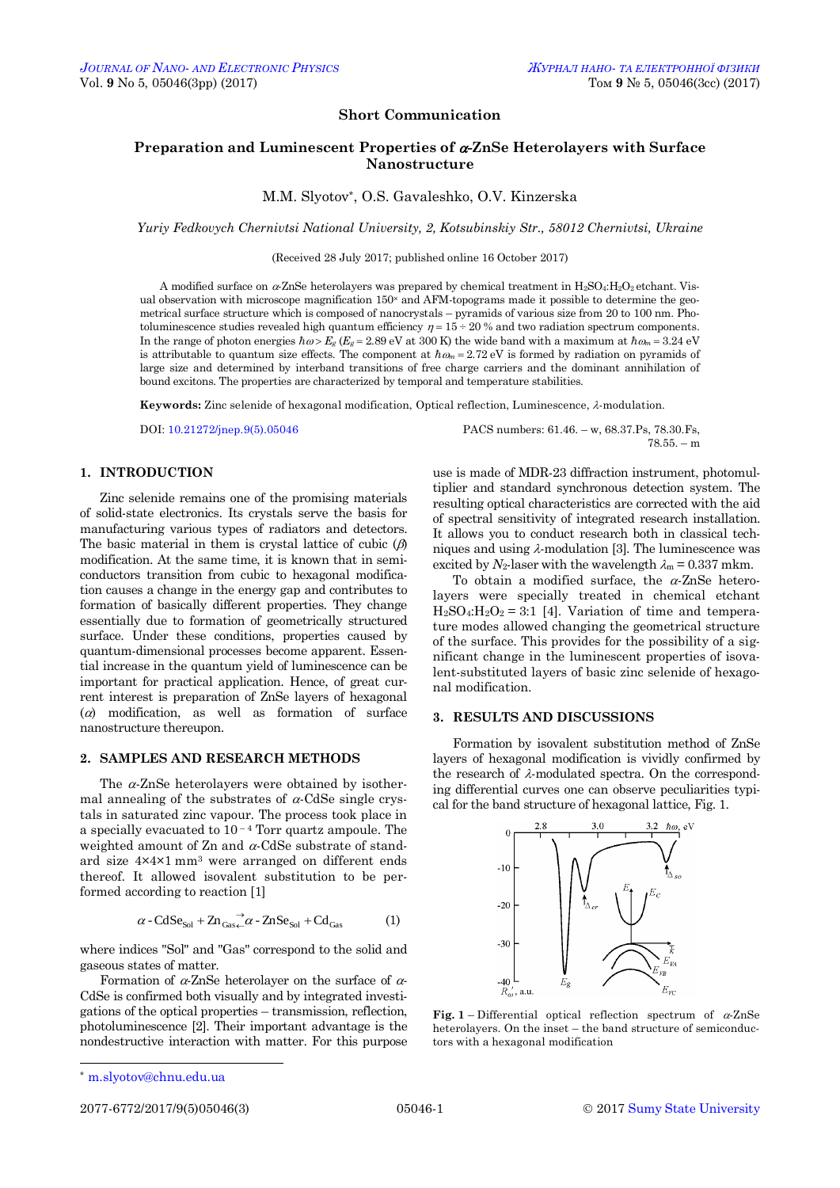# **Short Communication**

## **Preparation and Luminescent Properties of -ZnSe Heterolayers with Surface Nanostructure**

M.М. Slyotov\*, O.S. Gavaleshko, O.V. Kinzerska

*Yuriy Fedkovych Chernivtsi National University, 2, Kotsubinskiy Str., 58012 Chernivtsi, Ukraine*

(Received 28 July 2017; published online 16 October 2017)

A modified surface on  $\alpha$ -ZnSe heterolayers was prepared by chemical treatment in H<sub>2</sub>SO<sub>4</sub>:H<sub>2</sub>O<sub>2</sub> etchant. Visual observation with microscope magnification 150<sup>x</sup> and AFM-topograms made it possible to determine the geometrical surface structure which is composed of nanocrystals – pyramids of various size from 20 to 100 nm. Photoluminescence studies revealed high quantum efficiency  $\eta = 15 \div 20$  % and two radiation spectrum components. In the range of photon energies  $\hbar \omega > E_g$  ( $E_g = 2.89$  eV at 300 K) the wide band with a maximum at  $\hbar \omega_m = 3.24$  eV is attributable to quantum size effects. The component at  $\hbar \omega_m = 2.72 \text{ eV}$  is formed by radiation on pyramids of large size and determined by interband transitions of free charge carriers and the dominant annihilation of bound excitons. The properties are characterized by temporal and temperature stabilities.

Keywords: Zinc selenide of hexagonal modification, Optical reflection, Luminescence,  $\lambda$ -modulation.

### **1. INTRODUCTION**

Zinc selenide remains one of the promising materials of solid-state electronics. Its crystals serve the basis for manufacturing various types of radiators and detectors. The basic material in them is crystal lattice of cubic  $(\beta)$ modification. At the same time, it is known that in semiconductors transition from cubic to hexagonal modification causes a change in the energy gap and contributes to formation of basically different properties. They change essentially due to formation of geometrically structured surface. Under these conditions, properties caused by quantum-dimensional processes become apparent. Essential increase in the quantum yield of luminescence can be important for practical application. Hence, of great current interest is preparation of ZnSe layers of hexagonal  $(a)$  modification, as well as formation of surface nanostructure thereupon.

#### **2. SAMPLES AND RESEARCH METHODS**

The  $\alpha$ -ZnSe heterolayers were obtained by isothermal annealing of the substrates of  $\alpha$ -CdSe single crystals in saturated zinc vapour. The process took place in a specially evacuated to  $10<sup>-4</sup>$  Torr quartz ampoule. The weighted amount of Zn and  $\alpha$ -CdSe substrate of standard size 4×4×1 mm<sup>3</sup> were arranged on different ends thereof. It allowed isovalent substitution to be performed according to reaction [1]

$$
\alpha - C dSe_{Sol} + Zn_{Gas} \stackrel{\rightarrow}{\sim} \alpha - ZnSe_{Sol} + Cd_{Gas}
$$
 (1)

where indices "Sol" and "Gas" correspond to the solid and gaseous states of matter.

Formation of  $\alpha$ -ZnSe heterolayer on the surface of  $\alpha$ -CdSe is confirmed both visually and by integrated investigations of the optical properties – transmission, reflection, photoluminescence [2]. Their important advantage is the nondestructive interaction with matter. For this purpose

<span id="page-0-3"></span><span id="page-0-2"></span><span id="page-0-1"></span><span id="page-0-0"></span>

DOI: [10.21272/jnep.9\(5\).05046](http://doi.org/10.21272/jnep.9(5).05046) PACS numbers: 61.46. – w, 68.37.Ps, 78.30.Fs,  $78.55 - m$ 

> use is made of MDR-23 diffraction instrument, photomultiplier and standard synchronous detection system. The resulting optical characteristics are corrected with the aid of spectral sensitivity of integrated research installation. It allows you to conduct research both in classical techniques and using  $\lambda$ -modulation [3]. The luminescence was excited by  $N_2$ -laser with the wavelength  $\lambda_m = 0.337$  mkm.

> To obtain a modified surface, the  $\alpha$ -ZnSe heterolayers were specially treated in chemical etchant  $H_2SO_4$ : $H_2O_2 = 3:1$  [4]. Variation of time and temperature modes allowed changing the geometrical structure of the surface. This provides for the possibility of a significant change in the luminescent properties of isovalent-substituted layers of basic zinc selenide of hexagonal modification.

#### **3. RESULTS AND DISCUSSIONS**

Formation by isovalent substitution method of ZnSe layers of hexagonal modification is vividly confirmed by the research of  $\lambda$ -modulated spectra. On the corresponding differential curves one can observe peculiarities typical for the band structure of hexagonal lattice, Fig. 1.



**Fig.** 1 – Differential optical reflection spectrum of  $\alpha$ -ZnSe heterolayers. On the inset – the band structure of semiconductors with a hexagonal modification

<sup>-</sup>\* [m.slyotov@chnu.edu.ua](mailto:m.slyotov@chnu.edu.ua)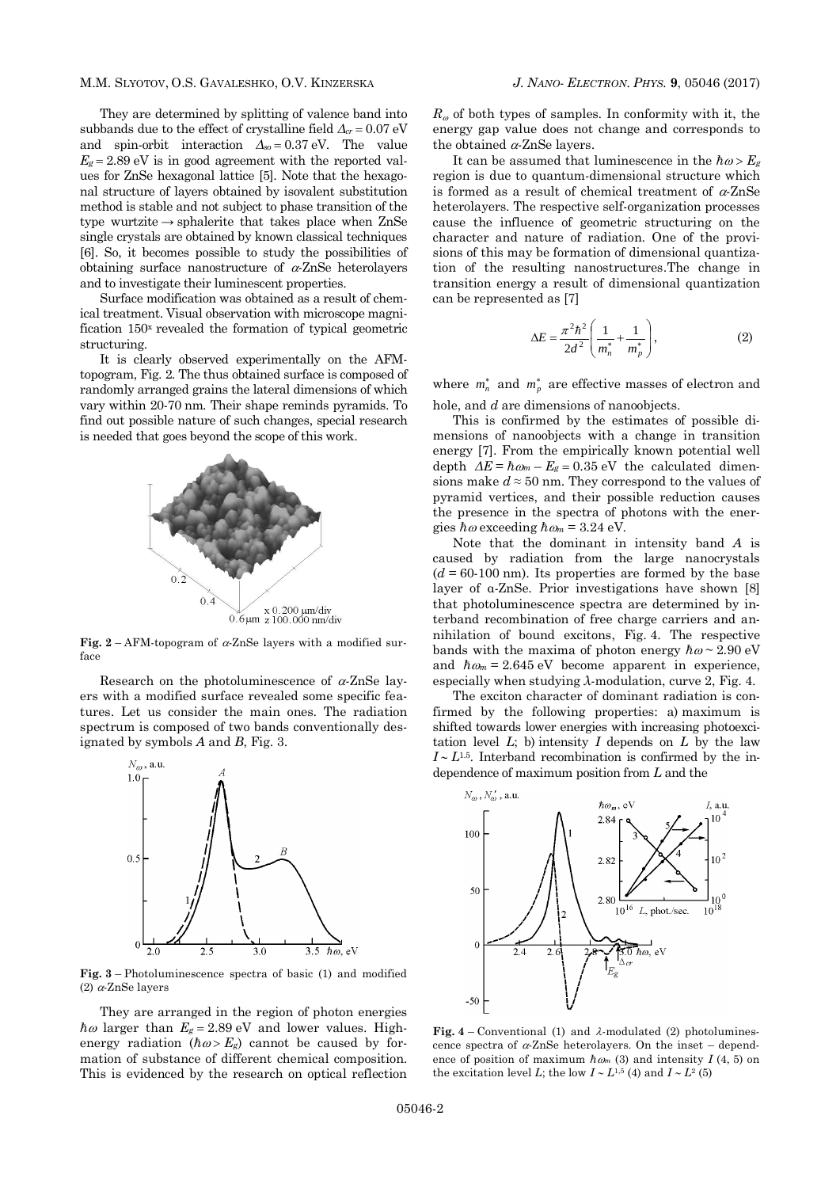They are determined by splitting of valence band into subbands due to the effect of crystalline field  $\Delta_{cr} = 0.07 \text{ eV}$ and spin-orbit interaction  $Δ<sub>so</sub> = 0.37$  eV. The value  $E_g = 2.89$  eV is in good agreement with the reported values for ZnSe hexagonal lattice [5]. Note that the hexagonal structure of layers obtained by isovalent substitution method is stable and not subject to phase transition of the type wurtzite  $\rightarrow$  sphalerite that takes place when ZnSe single crystals are obtained by known classical techniques [6]. So, it becomes possible to study the possibilities of obtaining surface nanostructure of  $\alpha$ -ZnSe heterolayers and to investigate their luminescent properties.

Surface modification was obtained as a result of chemical treatment. Visual observation with microscope magnification 150<sup>x</sup> revealed the formation of typical geometric structuring.

It is clearly observed experimentally on the AFMtopogram, Fig. 2. The thus obtained surface is composed of randomly arranged grains the lateral dimensions of which vary within 20-70 nm. Their shape reminds pyramids. To find out possible nature of such changes, special research is needed that goes beyond the scope of this work.



**Fig.** 2 – AFM-topogram of  $\alpha$ -ZnSe layers with a modified surface

Research on the photoluminescence of  $\alpha$ -ZnSe layers with a modified surface revealed some specific features. Let us consider the main ones. The radiation spectrum is composed of two bands conventionally designated by symbols *A* and *В*, Fig. 3.



**Fig. 3** – Photoluminescence spectra of basic (1) and modified (2)  $\alpha$ -ZnSe layers

They are arranged in the region of photon energies  $\hbar \omega$  larger than  $E_g = 2.89$  eV and lower values. Highenergy radiation  $(h\omega > E_g)$  cannot be caused by formation of substance of different chemical composition. This is evidenced by the research on optical reflection

 $R_{\omega}$  of both types of samples. In conformity with it, the energy gap value does not change and corresponds to the obtained  $\alpha$ -ZnSe layers.

It can be assumed that luminescence in the  $\hbar \omega > E_g$ region is due to quantum-dimensional structure which is formed as a result of chemical treatment of  $\alpha$ -ZnSe heterolayers. The respective self-organization processes cause the influence of geometric structuring on the character and nature of radiation. One of the provisions of this may be formation of dimensional quantization of the resulting nanostructures.The change in transition energy a result of dimensional quantization can be represented as [7]

$$
\Delta E = \frac{\pi^2 h^2}{2d^2} \left( \frac{1}{m_n^*} + \frac{1}{m_p^*} \right),
$$
 (2)

where  $m_n^*$  and  $m_p^*$  are effective masses of electron and hole, and *d* are dimensions of nanoobjects.

This is confirmed by the estimates of possible dimensions of nanoobjects with a change in transition energy [7]. From the empirically known potential well depth  $\Delta E = \hbar \omega_m - E_g = 0.35 \text{ eV}$  the calculated dimensions make  $d \approx 50$  nm. They correspond to the values of pyramid vertices, and their possible reduction causes the presence in the spectra of photons with the energies  $\hbar \omega$  exceeding  $\hbar \omega_m = 3.24$  eV.

Note that the dominant in intensity band *А* is caused by radiation from the large nanocrystals  $(d = 60-100)$  nm). Its properties are formed by the base layer of α-ZnSe. Prior investigations have shown [8] that photoluminescence spectra are determined by interband recombination of free charge carriers and annihilation of bound excitons, Fig. 4. The respective bands with the maxima of photon energy  $\hbar \omega \sim 2.90 \text{ eV}$ and  $\hbar \omega_m = 2.645 \text{ eV}$  become apparent in experience, especially when studying *λ*-modulation, curve 2, Fig. 4.

The exciton character of dominant radiation is confirmed by the following properties: а) maximum is shifted towards lower energies with increasing photoexcitation level  $L$ ; b) intensity  $I$  depends on  $L$  by the law  $I \sim L^{1.5}$ . Interband recombination is confirmed by the independence of maximum position from *L* and the



**Fig. 4** – Conventional (1) and  $\lambda$ -modulated (2) photoluminescence spectra of  $\alpha$ -ZnSe heterolayers. On the inset – dependence of position of maximum  $\hbar \omega_m$  (3) and intensity *I* (4, 5) on the excitation level *L*; the low  $I \sim L^{1,5}$  (4) and  $I \sim L^2$  (5)